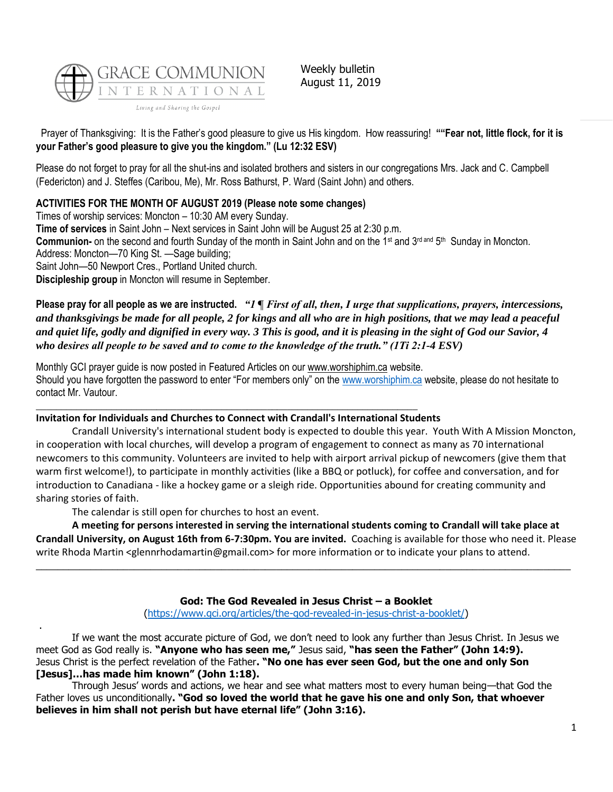

Weekly bulletin August 11, 2019

Prayer of Thanksgiving: It is the Father's good pleasure to give us His kingdom. How reassuring! **""Fear not, little flock, for it is your Father's good pleasure to give you the kingdom." (Lu 12:32 ESV)**

Please do not forget to pray for all the shut-ins and isolated brothers and sisters in our congregations Mrs. Jack and C. Campbell (Federicton) and J. Steffes (Caribou, Me), Mr. Ross Bathurst, P. Ward (Saint John) and others.

# **ACTIVITIES FOR THE MONTH OF AUGUST 2019 (Please note some changes)**

Times of worship services: Moncton – 10:30 AM every Sunday.

**Time of services** in Saint John – Next services in Saint John will be August 25 at 2:30 p.m. **Communion-** on the second and fourth Sunday of the month in Saint John and on the 1<sup>st</sup> and 3<sup>rd and</sup> 5<sup>th</sup> Sunday in Moncton. Address: Moncton—70 King St. —Sage building; Saint John—50 Newport Cres., Portland United church. **Discipleship group** in Moncton will resume in September.

**Please pray for all people as we are instructed.** *"1 ¶ First of all, then, I urge that supplications, prayers, intercessions, and thanksgivings be made for all people, 2 for kings and all who are in high positions, that we may lead a peaceful and quiet life, godly and dignified in every way. 3 This is good, and it is pleasing in the sight of God our Savior, 4 who desires all people to be saved and to come to the knowledge of the truth." (1Ti 2:1-4 ESV)*

Monthly GCI prayer guide is now posted in Featured Articles on our [www.worshiphim.ca](http://www.worshiphim.ca/) website. Should you have forgotten the password to enter "For members only" on the [www.worshiphim.ca](http://www.worshiphim.ca/) website, please do not hesitate to contact Mr. Vautour.

## **Invitation for Individuals and Churches to Connect with Crandall's International Students**

\_\_\_\_\_\_\_\_\_\_\_\_\_\_\_\_\_\_\_\_\_\_\_\_\_\_\_\_\_\_\_\_\_\_\_\_\_\_\_\_\_\_\_\_\_\_\_\_\_\_\_\_\_\_\_\_\_\_\_\_\_\_\_\_\_\_\_\_\_\_\_\_\_\_\_\_

Crandall University's international student body is expected to double this year. Youth With A Mission Moncton, in cooperation with local churches, will develop a program of engagement to connect as many as 70 international newcomers to this community. Volunteers are invited to help with airport arrival pickup of newcomers (give them that warm first welcome!), to participate in monthly activities (like a BBQ or potluck), for coffee and conversation, and for introduction to Canadiana - like a hockey game or a sleigh ride. Opportunities abound for creating community and sharing stories of faith.

The calendar is still open for churches to host an event.

.

**A meeting for persons interested in serving the international students coming to Crandall will take place at Crandall University, on August 16th from 6-7:30pm. You are invited.** Coaching is available for those who need it. Please write Rhoda Martin [<glennrhodamartin@gmail.com>](mailto:glennrhodamartin@gmail.com) for more information or to indicate your plans to attend.

## **God: The God Revealed in Jesus Christ – a Booklet**

 $\_$  , and the set of the set of the set of the set of the set of the set of the set of the set of the set of the set of the set of the set of the set of the set of the set of the set of the set of the set of the set of th

[\(https://www.gci.org/articles/the-god-revealed-in-jesus-christ-a-booklet/\)](https://www.gci.org/articles/the-god-revealed-in-jesus-christ-a-booklet/)

If we want the most accurate picture of God, we don't need to look any further than Jesus Christ. In Jesus we meet God as God really is. **"Anyone who has seen me,"** Jesus said, **"has seen the Father" ([John 14:9\)](https://biblia.com/bible/niv/John%2014.9).** Jesus Christ is the perfect revelation of the Father**. "No one has ever seen God, but the one and only Son [Jesus]…has made him known" ([John 1:18\)](https://biblia.com/bible/niv/John%201.18).**

Through Jesus' words and actions, we hear and see what matters most to every human being—that God the Father loves us unconditionally**. "God so loved the world that he gave his one and only Son, that whoever believes in him shall not perish but have eternal life" ([John 3:16\)](https://biblia.com/bible/niv/John%203.16).**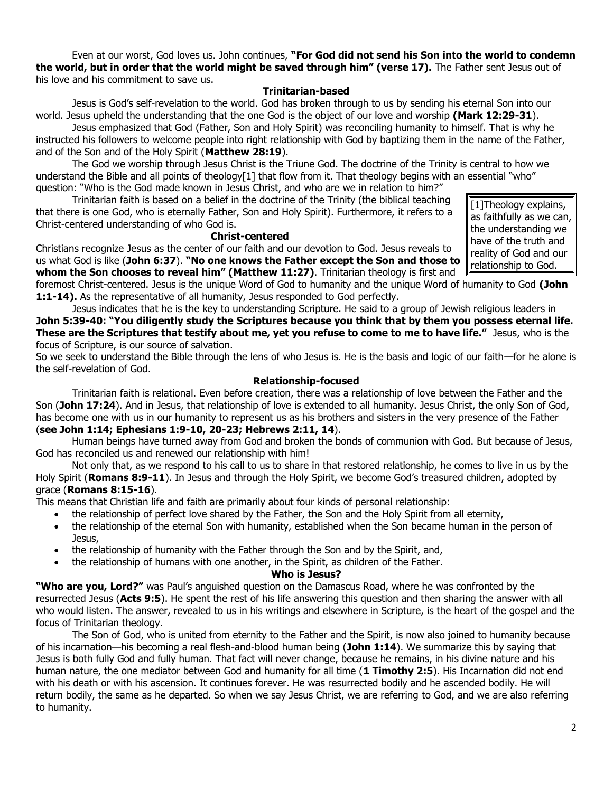Even at our worst, God loves us. John continues, **"For God did not send his Son into the world to condemn the world, but in order that the world might be saved through him" (verse 17).** The Father sent Jesus out of his love and his commitment to save us.

#### **Trinitarian-based**

Jesus is God's self-revelation to the world. God has broken through to us by sending his eternal Son into our world. Jesus upheld the understanding that the one God is the object of our love and worship **[\(Mark 12:29-31](https://biblia.com/bible/niv/Mark%2012.29-31)**).

Jesus emphasized that God (Father, Son and Holy Spirit) was reconciling humanity to himself. That is why he instructed his followers to welcome people into right relationship with God by baptizing them in the name of the Father, and of the Son and of the Holy Spirit (**[Matthew 28:19](https://biblia.com/bible/niv/Matt%2028.19)**).

The God we worship through Jesus Christ is the Triune God. The doctrine of the Trinity is central to how we understand the Bible and all points of theology[1] that flow from it. That theology begins with an essential "who" question: "Who is the God made known in Jesus Christ, and who are we in relation to him?"

Trinitarian faith is based on a belief in the doctrine of the Trinity (the biblical teaching that there is one God, who is eternally Father, Son and Holy Spirit). Furthermore, it refers to a Christ-centered understanding of who God is.

#### **Christ-centered**

Christians recognize Jesus as the center of our faith and our devotion to God. Jesus reveals to us what God is like (**[John 6:37](https://biblia.com/bible/niv/John%206.37)**). **"No one knows the Father except the Son and those to whom the Son chooses to reveal him" ([Matthew 11:27\)](https://biblia.com/bible/niv/Matt%2011.27)**. Trinitarian theology is first and

[1]Theology explains, as faithfully as we can, the understanding we have of the truth and reality of God and our relationship to God.

foremost Christ-centered. Jesus is the unique Word of God to humanity and the unique Word of humanity to God **[\(John](https://biblia.com/bible/niv/John%201.1-14)  [1:1-14\)](https://biblia.com/bible/niv/John%201.1-14).** As the representative of all humanity, Jesus responded to God perfectly.

Jesus indicates that he is the key to understanding Scripture. He said to a group of Jewish religious leaders in **[John 5:39-40](https://biblia.com/bible/niv/John%205.39-40): "You diligently study the Scriptures because you think that by them you possess eternal life. These are the Scriptures that testify about me, yet you refuse to come to me to have life."** Jesus, who is the focus of Scripture, is our source of salvation.

So we seek to understand the Bible through the lens of who Jesus is. He is the basis and logic of our faith—for he alone is the self-revelation of God.

#### **Relationship-focused**

Trinitarian faith is relational. Even before creation, there was a relationship of love between the Father and the Son (**[John 17:24](https://biblia.com/bible/niv/John%2017.24)**). And in Jesus, that relationship of love is extended to all humanity. Jesus Christ, the only Son of God, has become one with us in our humanity to represent us as his brothers and sisters in the very presence of the Father (**see [John 1:14;](https://biblia.com/bible/niv/John%201.14) [Ephesians 1:9-10,](https://biblia.com/bible/niv/Eph%201.9-10) [20-23;](https://biblia.com/bible/niv/Ephesians%201.20-23) [Hebrews 2:11,](https://biblia.com/bible/niv/Heb%202.11) [14](https://biblia.com/bible/niv/Hebrews%202.14)**).

Human beings have turned away from God and broken the bonds of communion with God. But because of Jesus, God has reconciled us and renewed our relationship with him!

Not only that, as we respond to his call to us to share in that restored relationship, he comes to live in us by the Holy Spirit (**[Romans 8:9-11](https://biblia.com/bible/niv/Rom%208.9-11)**). In Jesus and through the Holy Spirit, we become God's treasured children, adopted by grace (**[Romans 8:15-16](https://biblia.com/bible/niv/Rom%208.15-16)**).

This means that Christian life and faith are primarily about four kinds of personal relationship:

- the relationship of perfect love shared by the Father, the Son and the Holy Spirit from all eternity,
- the relationship of the eternal Son with humanity, established when the Son became human in the person of Jesus,
- the relationship of humanity with the Father through the Son and by the Spirit, and,
- the relationship of humans with one another, in the Spirit, as children of the Father.

#### **Who is Jesus?**

**"Who are you, Lord?"** was Paul's anguished question on the Damascus Road, where he was confronted by the resurrected Jesus (**[Acts 9:5](https://biblia.com/bible/niv/Acts%209.5)**). He spent the rest of his life answering this question and then sharing the answer with all who would listen. The answer, revealed to us in his writings and elsewhere in Scripture, is the heart of the gospel and the focus of Trinitarian theology.

The Son of God, who is united from eternity to the Father and the Spirit, is now also joined to humanity because of his incarnation—his becoming a real flesh-and-blood human being (**[John 1:14](https://biblia.com/bible/niv/John%201.14)**). We summarize this by saying that Jesus is both fully God and fully human. That fact will never change, because he remains, in his divine nature and his human nature, the one mediator between God and humanity for all time (**[1 Timothy 2:5](https://biblia.com/bible/niv/1%20Tim%202.5)**). His Incarnation did not end with his death or with his ascension. It continues forever. He was resurrected bodily and he ascended bodily. He will return bodily, the same as he departed. So when we say Jesus Christ, we are referring to God, and we are also referring to humanity.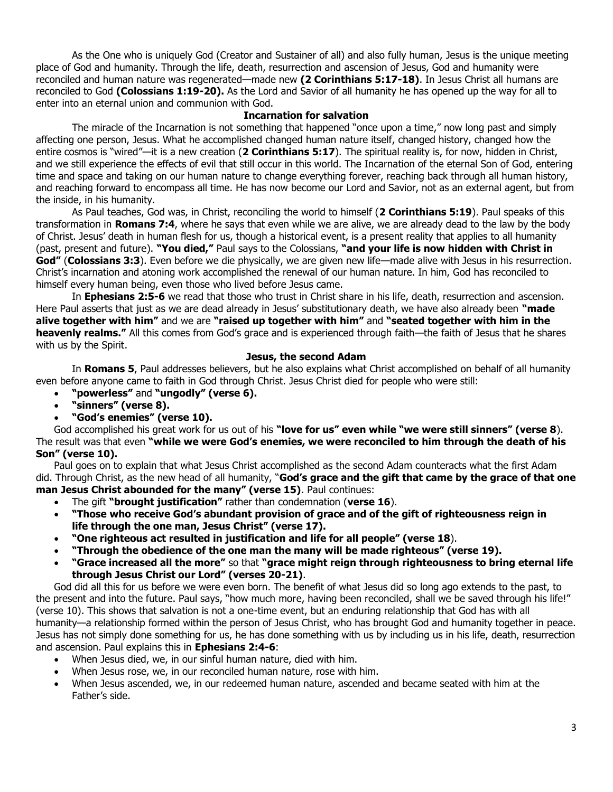As the One who is uniquely God (Creator and Sustainer of all) and also fully human, Jesus is the unique meeting place of God and humanity. Through the life, death, resurrection and ascension of Jesus, God and humanity were reconciled and human nature was regenerated—made new **[\(2 Corinthians 5:17-18\)](https://biblia.com/bible/niv/2%20Cor%205.17-18)**. In Jesus Christ all humans are reconciled to God **[\(Colossians 1:19-20\)](https://biblia.com/bible/niv/Col%201.19-20).** As the Lord and Savior of all humanity he has opened up the way for all to enter into an eternal union and communion with God.

### **Incarnation for salvation**

The miracle of the Incarnation is not something that happened "once upon a time," now long past and simply affecting one person, Jesus. What he accomplished changed human nature itself, changed history, changed how the entire cosmos is "wired"—it is a new creation (**[2 Corinthians 5:17](https://biblia.com/bible/niv/2%20Cor%205.17)**). The spiritual reality is, for now, hidden in Christ, and we still experience the effects of evil that still occur in this world. The Incarnation of the eternal Son of God, entering time and space and taking on our human nature to change everything forever, reaching back through all human history, and reaching forward to encompass all time. He has now become our Lord and Savior, not as an external agent, but from the inside, in his humanity.

As Paul teaches, God was, in Christ, reconciling the world to himself (**[2 Corinthians 5:19](https://biblia.com/bible/niv/2%20Cor%205.19)**). Paul speaks of this transformation in **[Romans 7:4](https://biblia.com/bible/niv/Rom%207.4)**, where he says that even while we are alive, we are already dead to the law by the body of Christ. Jesus' death in human flesh for us, though a historical event, is a present reality that applies to all humanity (past, present and future). **"You died,"** Paul says to the Colossians, **"and your life is now hidden with Christ in God"** (**[Colossians 3:3](https://biblia.com/bible/niv/Col%203.3)**). Even before we die physically, we are given new life—made alive with Jesus in his resurrection. Christ's incarnation and atoning work accomplished the renewal of our human nature. In him, God has reconciled to himself every human being, even those who lived before Jesus came.

In **[Ephesians 2:5-6](https://biblia.com/bible/niv/Eph%202.5-6)** we read that those who trust in Christ share in his life, death, resurrection and ascension. Here Paul asserts that just as we are dead already in Jesus' substitutionary death, we have also already been **"made alive together with him"** and we are **"raised up together with him"** and **"seated together with him in the heavenly realms."** All this comes from God's grace and is experienced through faith—the faith of Jesus that he shares with us by the Spirit.

### **Jesus, the second Adam**

In **Romans 5**, Paul addresses believers, but he also explains what Christ accomplished on behalf of all humanity even before anyone came to faith in God through Christ. Jesus Christ died for people who were still:

- **"powerless"** and **"ungodly" (verse 6).**
- **"sinners" (verse 8).**
- **"God's enemies" (verse 10).**

God accomplished his great work for us out of his **"love for us" even while "we were still sinners" (verse 8**). The result was that even **"while we were God's enemies, we were reconciled to him through the death of his Son" (verse 10).**

Paul goes on to explain that what Jesus Christ accomplished as the second Adam counteracts what the first Adam did. Through Christ, as the new head of all humanity, "**God's grace and the gift that came by the grace of that one man Jesus Christ abounded for the many" (verse 15)**. Paul continues:

- The gift **"brought justification"** rather than condemnation (**verse 16**).
- **"Those who receive God's abundant provision of grace and of the gift of righteousness reign in life through the one man, Jesus Christ" (verse 17).**
- **"One righteous act resulted in justification and life for all people" (verse 18**).
- **"Through the obedience of the one man the many will be made righteous" (verse 19).**
- **"Grace increased all the more"** so that **"grace might reign through righteousness to bring eternal life through Jesus Christ our Lord" (verses 20-21)**.

God did all this for us before we were even born. The benefit of what Jesus did so long ago extends to the past, to the present and into the future. Paul says, "how much more, having been reconciled, shall we be saved through his life!" (verse 10). This shows that salvation is not a one-time event, but an enduring relationship that God has with all humanity—a relationship formed within the person of Jesus Christ, who has brought God and humanity together in peace. Jesus has not simply done something for us, he has done something with us by including us in his life, death, resurrection and ascension. Paul explains this in **[Ephesians 2:4-6](https://biblia.com/bible/niv/Eph%202.4-6)**:

- When Jesus died, we, in our sinful human nature, died with him.
- When Jesus rose, we, in our reconciled human nature, rose with him.
- When Jesus ascended, we, in our redeemed human nature, ascended and became seated with him at the Father's side.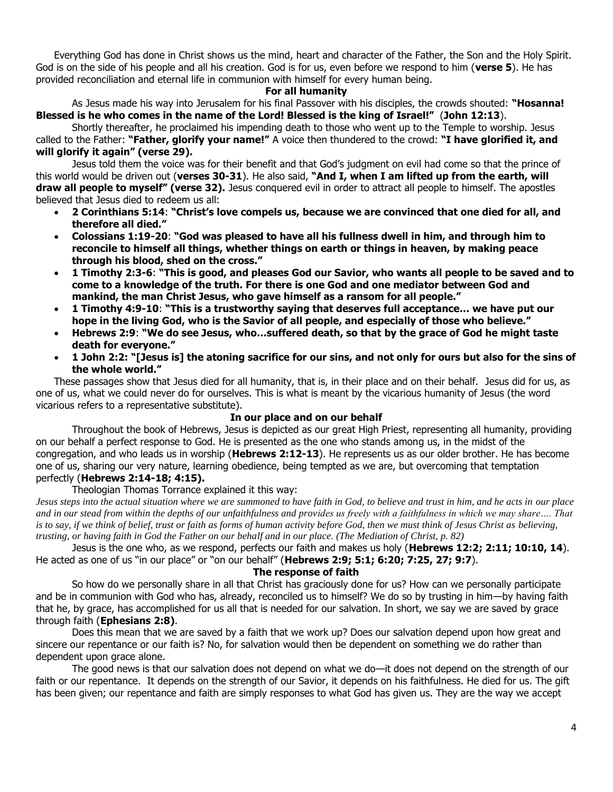Everything God has done in Christ shows us the mind, heart and character of the Father, the Son and the Holy Spirit. God is on the side of his people and all his creation. God is for us, even before we respond to him (**verse 5**). He has provided reconciliation and eternal life in communion with himself for every human being.

#### **For all humanity**

As Jesus made his way into Jerusalem for his final Passover with his disciples, the crowds shouted: **"Hosanna! Blessed is he who comes in the name of the Lord! Blessed is the king of Israel!"** (**[John 12:13](https://biblia.com/bible/niv/John%2012.13)**).

Shortly thereafter, he proclaimed his impending death to those who went up to the Temple to worship. Jesus called to the Father: **"Father, glorify your name!"** A voice then thundered to the crowd: **"I have glorified it, and will glorify it again" (verse 29).**

Jesus told them the voice was for their benefit and that God's judgment on evil had come so that the prince of this world would be driven out (**verses 30-31**). He also said, **"And I, when I am lifted up from the earth, will draw all people to myself" (verse 32).** Jesus conquered evil in order to attract all people to himself. The apostles believed that Jesus died to redeem us all:

- **[2 Corinthians 5:14](https://biblia.com/bible/niv/2%20Cor%205.14)**: **"Christ's love compels us, because we are convinced that one died for all, and therefore all died."**
- **[Colossians 1:19-20](https://biblia.com/bible/niv/Col%201.19-20)**: **"God was pleased to have all his fullness dwell in him, and through him to reconcile to himself all things, whether things on earth or things in heaven, by making peace through his blood, shed on the cross."**
- **[1 Timothy 2:3-6](https://biblia.com/bible/niv/1%20Tim%202.3-6)**: **"This is good, and pleases God our Savior, who wants all people to be saved and to come to a knowledge of the truth. For there is one God and one mediator between God and mankind, the man Christ Jesus, who gave himself as a ransom for all people."**
- **[1 Timothy 4:9-10](https://biblia.com/bible/niv/1%20Tim%204.9-10)**: **"This is a trustworthy saying that deserves full acceptance… we have put our hope in the living God, who is the Savior of all people, and especially of those who believe."**
- **[Hebrews 2:9](https://biblia.com/bible/niv/Heb%202.9)**: **"We do see Jesus, who…suffered death, so that by the grace of God he might taste death for everyone."**
- **[1 John 2:2:](https://biblia.com/bible/niv/1%20John%202.2) "[Jesus is] the atoning sacrifice for our sins, and not only for ours but also for the sins of the whole world."**

These passages show that Jesus died for all humanity, that is, in their place and on their behalf. Jesus did for us, as one of us, what we could never do for ourselves. This is what is meant by the vicarious humanity of Jesus (the word vicarious refers to a representative substitute).

## **In our place and on our behalf**

Throughout the book of Hebrews, Jesus is depicted as our great High Priest, representing all humanity, providing on our behalf a perfect response to God. He is presented as the one who stands among us, in the midst of the congregation, and who leads us in worship (**[Hebrews 2:12-13](https://biblia.com/bible/niv/Heb%202.12-13)**). He represents us as our older brother. He has become one of us, sharing our very nature, learning obedience, being tempted as we are, but overcoming that temptation perfectly (**[Hebrews 2:14-18;](https://biblia.com/bible/niv/Heb%202.14-18) [4:15\)](https://biblia.com/bible/niv/Hebrews%204.15).**

# Theologian Thomas Torrance explained it this way:

*Jesus steps into the actual situation where we are summoned to have faith in God, to believe and trust in him, and he acts in our place and in our stead from within the depths of our unfaithfulness and provides us freely with a faithfulness in which we may share…. That is to say, if we think of belief, trust or faith as forms of human activity before God, then we must think of Jesus Christ as believing, trusting, or having faith in God the Father on our behalf and in our place. (The Mediation of Christ, p. 82)*

Jesus is the one who, as we respond, perfects our faith and makes us holy (**[Hebrews 12:2;](https://biblia.com/bible/niv/Heb%2012.2) [2:11;](https://biblia.com/bible/niv/Hebrews%202.11) [10:10,](https://biblia.com/bible/niv/Hebrews%2010.10) [14](https://biblia.com/bible/niv/Hebrews%2010.14)**). He acted as one of us "in our place" or "on our behalf" (**[Hebrews 2:9;](https://biblia.com/bible/niv/Heb%202.9) [5:1;](https://biblia.com/bible/niv/Hebrews%205.1) [6:20;](https://biblia.com/bible/niv/Hebrews%206.20) [7:25,](https://biblia.com/bible/niv/Hebrews%207.25) [27;](https://biblia.com/bible/niv/Hebrews%207.27) [9:7](https://biblia.com/bible/niv/Hebrews%209.7)**). **The response of faith**

So how do we personally share in all that Christ has graciously done for us? How can we personally participate and be in communion with God who has, already, reconciled us to himself? We do so by trusting in him—by having faith that he, by grace, has accomplished for us all that is needed for our salvation. In short, we say we are saved by grace through faith (**[Ephesians 2:8\)](https://biblia.com/bible/niv/Eph%202.8)**.

Does this mean that we are saved by a faith that we work up? Does our salvation depend upon how great and sincere our repentance or our faith is? No, for salvation would then be dependent on something we do rather than dependent upon grace alone.

The good news is that our salvation does not depend on what we do—it does not depend on the strength of our faith or our repentance. It depends on the strength of our Savior, it depends on his faithfulness. He died for us. The gift has been given; our repentance and faith are simply responses to what God has given us. They are the way we accept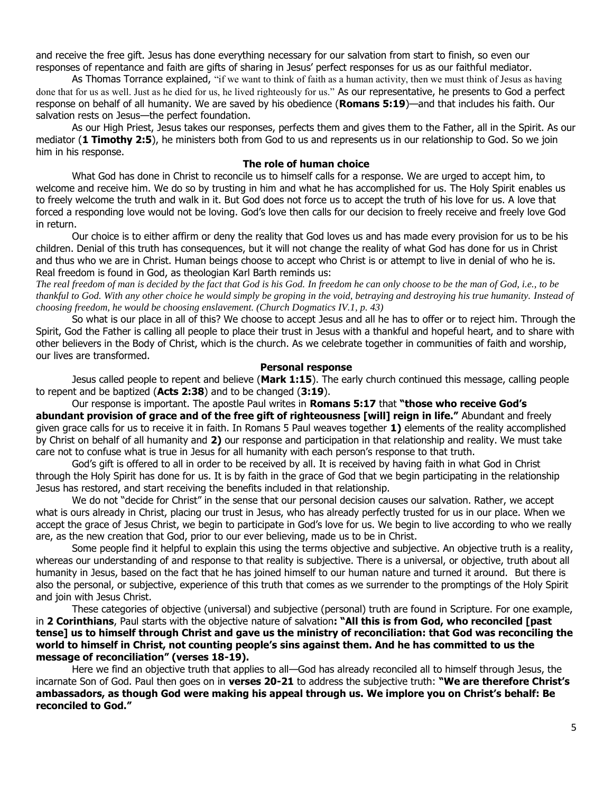and receive the free gift. Jesus has done everything necessary for our salvation from start to finish, so even our responses of repentance and faith are gifts of sharing in Jesus' perfect responses for us as our faithful mediator.

As Thomas Torrance explained, "if we want to think of faith as a human activity, then we must think of Jesus as having done that for us as well. Just as he died for us, he lived righteously for us." As our representative, he presents to God a perfect response on behalf of all humanity. We are saved by his obedience (**[Romans 5:19](https://biblia.com/bible/niv/Rom%205.19)**)—and that includes his faith. Our salvation rests on Jesus—the perfect foundation.

As our High Priest, Jesus takes our responses, perfects them and gives them to the Father, all in the Spirit. As our mediator (**[1 Timothy 2:5](https://biblia.com/bible/niv/1%20Tim%202.5)**), he ministers both from God to us and represents us in our relationship to God. So we join him in his response.

#### **The role of human choice**

What God has done in Christ to reconcile us to himself calls for a response. We are urged to accept him, to welcome and receive him. We do so by trusting in him and what he has accomplished for us. The Holy Spirit enables us to freely welcome the truth and walk in it. But God does not force us to accept the truth of his love for us. A love that forced a responding love would not be loving. God's love then calls for our decision to freely receive and freely love God in return.

Our choice is to either affirm or deny the reality that God loves us and has made every provision for us to be his children. Denial of this truth has consequences, but it will not change the reality of what God has done for us in Christ and thus who we are in Christ. Human beings choose to accept who Christ is or attempt to live in denial of who he is. Real freedom is found in God, as theologian Karl Barth reminds us:

*The real freedom of man is decided by the fact that God is his God. In freedom he can only choose to be the man of God, i.e., to be thankful to God. With any other choice he would simply be groping in the void, betraying and destroying his true humanity. Instead of choosing freedom, he would be choosing enslavement. (Church Dogmatics IV.1, p. 43)*

So what is our place in all of this? We choose to accept Jesus and all he has to offer or to reject him. Through the Spirit, God the Father is calling all people to place their trust in Jesus with a thankful and hopeful heart, and to share with other believers in the Body of Christ, which is the church. As we celebrate together in communities of faith and worship, our lives are transformed.

#### **Personal response**

Jesus called people to repent and believe (**[Mark 1:15](https://biblia.com/bible/niv/Mark%201.15)**). The early church continued this message, calling people to repent and be baptized (**[Acts 2:38](https://biblia.com/bible/niv/Acts%202.38)**) and to be changed (**3:19**).

Our response is important. The apostle Paul writes in **[Romans 5:17](https://biblia.com/bible/niv/Rom%205.17)** that **"those who receive God's abundant provision of grace and of the free gift of righteousness [will] reign in life."** Abundant and freely given grace calls for us to receive it in faith. In Romans 5 Paul weaves together **1)** elements of the reality accomplished by Christ on behalf of all humanity and **2)** our response and participation in that relationship and reality. We must take care not to confuse what is true in Jesus for all humanity with each person's response to that truth.

God's gift is offered to all in order to be received by all. It is received by having faith in what God in Christ through the Holy Spirit has done for us. It is by faith in the grace of God that we begin participating in the relationship Jesus has restored, and start receiving the benefits included in that relationship.

We do not "decide for Christ" in the sense that our personal decision causes our salvation. Rather, we accept what is ours already in Christ, placing our trust in Jesus, who has already perfectly trusted for us in our place. When we accept the grace of Jesus Christ, we begin to participate in God's love for us. We begin to live according to who we really are, as the new creation that God, prior to our ever believing, made us to be in Christ.

Some people find it helpful to explain this using the terms objective and subjective. An objective truth is a reality, whereas our understanding of and response to that reality is subjective. There is a universal, or objective, truth about all humanity in Jesus, based on the fact that he has joined himself to our human nature and turned it around. But there is also the personal, or subjective, experience of this truth that comes as we surrender to the promptings of the Holy Spirit and join with Jesus Christ.

These categories of objective (universal) and subjective (personal) truth are found in Scripture. For one example, in **2 Corinthians**, Paul starts with the objective nature of salvation**: "All this is from God, who reconciled [past tense] us to himself through Christ and gave us the ministry of reconciliation: that God was reconciling the world to himself in Christ, not counting people's sins against them. And he has committed to us the message of reconciliation" (verses 18-19).**

Here we find an objective truth that applies to all—God has already reconciled all to himself through Jesus, the incarnate Son of God. Paul then goes on in **verses 20-21** to address the subjective truth: **"We are therefore Christ's ambassadors, as though God were making his appeal through us. We implore you on Christ's behalf: Be reconciled to God."**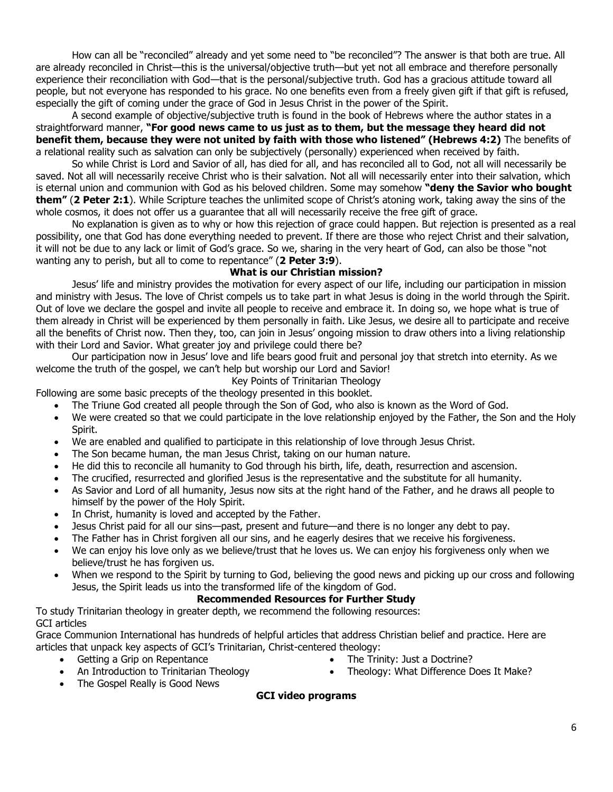How can all be "reconciled" already and yet some need to "be reconciled"? The answer is that both are true. All are already reconciled in Christ—this is the universal/objective truth—but yet not all embrace and therefore personally experience their reconciliation with God—that is the personal/subjective truth. God has a gracious attitude toward all people, but not everyone has responded to his grace. No one benefits even from a freely given gift if that gift is refused, especially the gift of coming under the grace of God in Jesus Christ in the power of the Spirit.

A second example of objective/subjective truth is found in the book of Hebrews where the author states in a straightforward manner, **"For good news came to us just as to them, but the message they heard did not benefit them, because they were not united by faith with those who listened" ([Hebrews 4:2\)](https://biblia.com/bible/niv/Heb%204.2)** The benefits of a relational reality such as salvation can only be subjectively (personally) experienced when received by faith.

So while Christ is Lord and Savior of all, has died for all, and has reconciled all to God, not all will necessarily be saved. Not all will necessarily receive Christ who is their salvation. Not all will necessarily enter into their salvation, which is eternal union and communion with God as his beloved children. Some may somehow **"deny the Savior who bought them"** (**[2 Peter 2:1](https://biblia.com/bible/niv/2%20Pet%202.1)**). While Scripture teaches the unlimited scope of Christ's atoning work, taking away the sins of the whole cosmos, it does not offer us a guarantee that all will necessarily receive the free gift of grace.

No explanation is given as to why or how this rejection of grace could happen. But rejection is presented as a real possibility, one that God has done everything needed to prevent. If there are those who reject Christ and their salvation, it will not be due to any lack or limit of God's grace. So we, sharing in the very heart of God, can also be those "not wanting any to perish, but all to come to repentance" (**[2 Peter 3:9](https://biblia.com/bible/niv/2%20Pet%203.9)**).

# **What is our Christian mission?**

Jesus' life and ministry provides the motivation for every aspect of our life, including our participation in mission and ministry with Jesus. The love of Christ compels us to take part in what Jesus is doing in the world through the Spirit. Out of love we declare the gospel and invite all people to receive and embrace it. In doing so, we hope what is true of them already in Christ will be experienced by them personally in faith. Like Jesus, we desire all to participate and receive all the benefits of Christ now. Then they, too, can join in Jesus' ongoing mission to draw others into a living relationship with their Lord and Savior. What greater joy and privilege could there be?

Our participation now in Jesus' love and life bears good fruit and personal joy that stretch into eternity. As we welcome the truth of the gospel, we can't help but worship our Lord and Savior!

Key Points of Trinitarian Theology

Following are some basic precepts of the theology presented in this booklet.

- The Triune God created all people through the Son of God, who also is known as the Word of God.
- We were created so that we could participate in the love relationship enjoyed by the Father, the Son and the Holy Spirit.
- We are enabled and qualified to participate in this relationship of love through Jesus Christ.
- The Son became human, the man Jesus Christ, taking on our human nature.
- He did this to reconcile all humanity to God through his birth, life, death, resurrection and ascension.
- The crucified, resurrected and glorified Jesus is the representative and the substitute for all humanity.
- As Savior and Lord of all humanity, Jesus now sits at the right hand of the Father, and he draws all people to himself by the power of the Holy Spirit.
- In Christ, humanity is loved and accepted by the Father.
- Jesus Christ paid for all our sins—past, present and future—and there is no longer any debt to pay.
- The Father has in Christ forgiven all our sins, and he eagerly desires that we receive his forgiveness.
- We can enjoy his love only as we believe/trust that he loves us. We can enjoy his forgiveness only when we believe/trust he has forgiven us.
- When we respond to the Spirit by turning to God, believing the good news and picking up our cross and following Jesus, the Spirit leads us into the transformed life of the kingdom of God.

# **Recommended Resources for Further Study**

To study Trinitarian theology in greater depth, we recommend the following resources: GCI articles

Grace Communion International has hundreds of helpful articles that address Christian belief and practice. Here are articles that unpack key aspects of GCI's Trinitarian, Christ-centered theology:

- [Getting a Grip on Repentance](https://www.gci.org/articles/getting-a-grip-on-repentance/)
- [An Introduction to Trinitarian Theology](https://www.gci.org/articles/an-introduction-to-trinitarian-theology/)
- [The Trinity: Just a Doctrine?](https://www.gci.org/articles/the-trinity-just-a-doctrine/)
- [Theology: What Difference Does It Make?](https://www.gci.org/articles/theology-what-difference-does-it-make/)

• [The Gospel Really is Good News](https://www.gci.org/articles/the-gospel-really-is-good-news/)

## **GCI video programs**